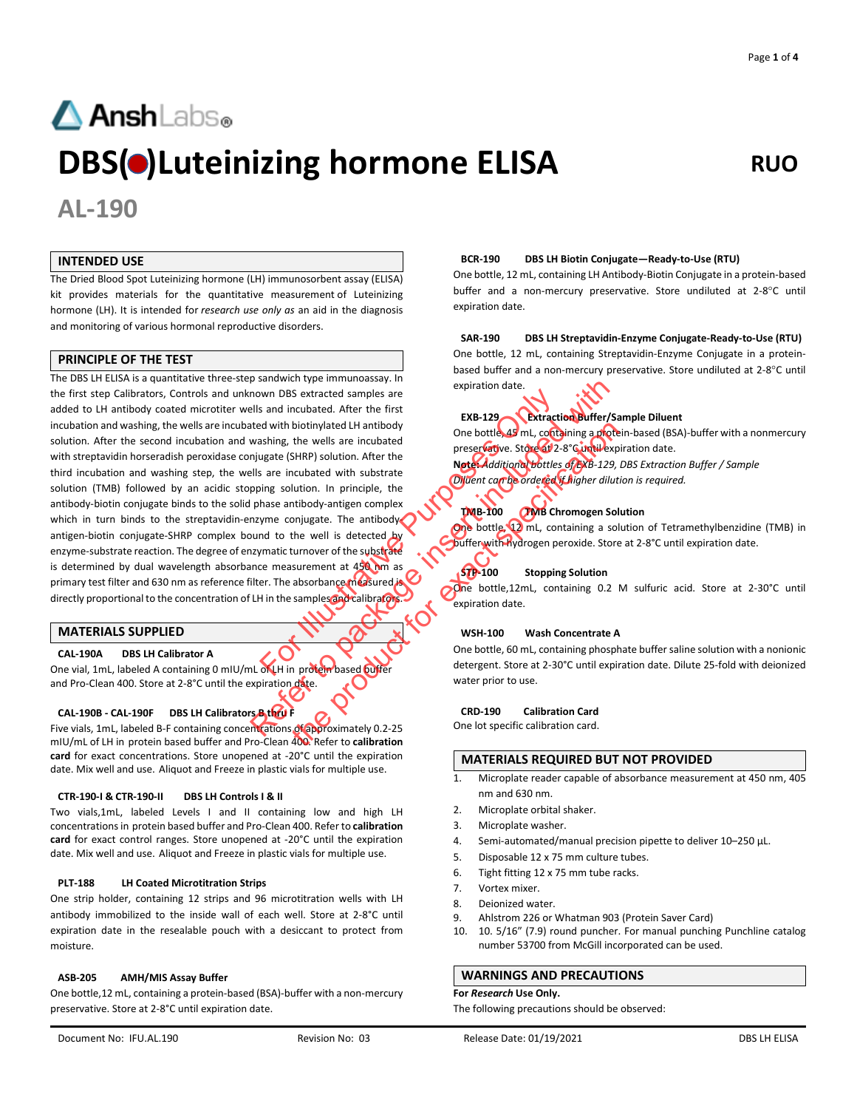# **AnshLabs**<sup>®</sup> **DBS(** $\bullet$ **)Luteinizing hormone ELISA** RUO

**AL-190**

### **INTENDED USE**

The Dried Blood Spot Luteinizing hormone (LH) immunosorbent assay (ELISA) kit provides materials for the quantitative measurement of Luteinizing hormone (LH). It is intended for *research use only as* an aid in the diagnosis and monitoring of various hormonal reproductive disorders.

#### **PRINCIPLE OF THE TEST**

The DBS LH ELISA is a quantitative three-step sandwich type immunoassay. In the first step Calibrators, Controls and unknown DBS extracted samples are added to LH antibody coated microtiter wells and incubated. After the first incubation and washing, the wells are incubated with biotinylated LH antibody solution. After the second incubation and washing, the wells are incubated with streptavidin horseradish peroxidase conjugate (SHRP) solution. After the third incubation and washing step, the wells are incubated with substrate solution (TMB) followed by an acidic stopping solution. In principle, the antibody-biotin conjugate binds to the solid phase antibody-antigen complex which in turn binds to the streptavidin-enzyme conjugate. The antibodyantigen-biotin conjugate-SHRP complex bound to the well is detected by enzyme-substrate reaction. The degree of enzymatic turnover of the substrate is determined by dual wavelength absorbance measurement at 450 nm as primary test filter and 630 nm as reference filter. The absorbance measured is directly proportional to the concentration of LH in the samples and calibrator For Illustrated Samples are<br>
Samples are<br>
Extracted samples are<br>
and incubated LH antibody<br>
Sashing, the wells are incubated<br>
ugate (SHRP) solution. After the<br>
same incubated with substrate<br>
mass antibody-antigen complex<br> Sometime the minimization of the minimization of the CRD-190 Calibration of the state of the paper of the substituted with biothiny and the washing, the wells are included the minimization of the state of the state of the biotinylated LH antibody<br>the wells are incubated<br>sHRP) solution. After the<br>cubated with substrate<br>throuboth substrate<br>throuboth substrate<br>throuboth substrate<br>throuboth substrate<br>the well is detected by<br>the well is detected

#### **MATERIALS SUPPLIED**

#### **CAL-190A DBS LH Calibrator A**

One vial, 1mL, labeled A containing 0 mIU/mL of LH in protein based buffer and Pro-Clean 400. Store at 2-8°C until the expiration date.

#### **CAL-190B - CAL-190F DBS LH Calibrators B thru F**

Five vials, 1mL, labeled B-F containing concentrations of approximately 0.2-25 mIU/mL of LH in protein based buffer and Pro-Clean 400. Refer to **calibration card** for exact concentrations. Store unopened at -20°C until the expiration date. Mix well and use. Aliquot and Freeze in plastic vials for multiple use.

#### **CTR-190-I & CTR-190-II DBS LH Controls I & II**

Two vials,1mL, labeled Levels I and II containing low and high LH concentrations in protein based buffer and Pro-Clean 400. Refer to **calibration card** for exact control ranges. Store unopened at -20°C until the expiration date. Mix well and use. Aliquot and Freeze in plastic vials for multiple use.

#### **PLT-188 LH Coated Microtitration Strips**

One strip holder, containing 12 strips and 96 microtitration wells with LH antibody immobilized to the inside wall of each well. Store at 2-8°C until expiration date in the resealable pouch with a desiccant to protect from moisture.

#### **ASB-205 AMH/MIS Assay Buffer**

One bottle,12 mL, containing a protein-based (BSA)-buffer with a non-mercury preservative. Store at 2-8°C until expiration date.

#### **BCR-190 DBS LH Biotin Conjugate—Ready-to-Use (RTU)**

One bottle, 12 mL, containing LH Antibody-Biotin Conjugate in a protein-based buffer and a non-mercury preservative. Store undiluted at 2-8°C until expiration date.

**SAR-190 DBS LH Streptavidin-Enzyme Conjugate-Ready-to-Use (RTU)**  One bottle, 12 mL, containing Streptavidin-Enzyme Conjugate in a proteinbased buffer and a non-mercury preservative. Store undiluted at 2-8°C until expiration date.

#### **EXB-129 Extraction Buffer/Sample Diluent**

One bottle, 45 mL, containing a protein-based (BSA)-buffer with a nonmercury preservative. Store at 2-8°C until expiration date.

**Note:** *Additional bottles of EXB-129, DBS Extraction Buffer / Sample Diluent can be ordered if higher dilution is required.*

#### **TMB-100 TMB Chromogen Solution**

One bottle, 12 mL, containing a solution of Tetramethylbenzidine (TMB) in buffer with hydrogen peroxide. Store at 2-8°C until expiration date.

#### **STP-100 Stopping Solution**

One bottle,12mL, containing 0.2 M sulfuric acid. Store at 2-30°C until expiration date.

#### **WSH-100 Wash Concentrate A**

One bottle, 60 mL, containing phosphate buffer saline solution with a nonionic detergent. Store at 2-30°C until expiration date. Dilute 25-fold with deionized water prior to use.

#### **CRD-190 Calibration Card**

One lot specific calibration card.

#### **MATERIALS REQUIRED BUT NOT PROVIDED**

- 1. Microplate reader capable of absorbance measurement at 450 nm, 405 nm and 630 nm.
- 2. Microplate orbital shaker.
- 3. Microplate washer.
- 4. Semi-automated/manual precision pipette to deliver 10–250 μL.
- 5. Disposable 12 x 75 mm culture tubes.
- 6. Tight fitting 12 x 75 mm tube racks.
- 7. Vortex mixer.
- 8. Deionized water.
- 9. Ahlstrom 226 or Whatman 903 (Protein Saver Card)
- 10. 10. 5/16" (7.9) round puncher. For manual punching Punchline catalog number 53700 from McGill incorporated can be used.

#### **WARNINGS AND PRECAUTIONS**

#### **For** *Research* **Use Only.**

The following precautions should be observed: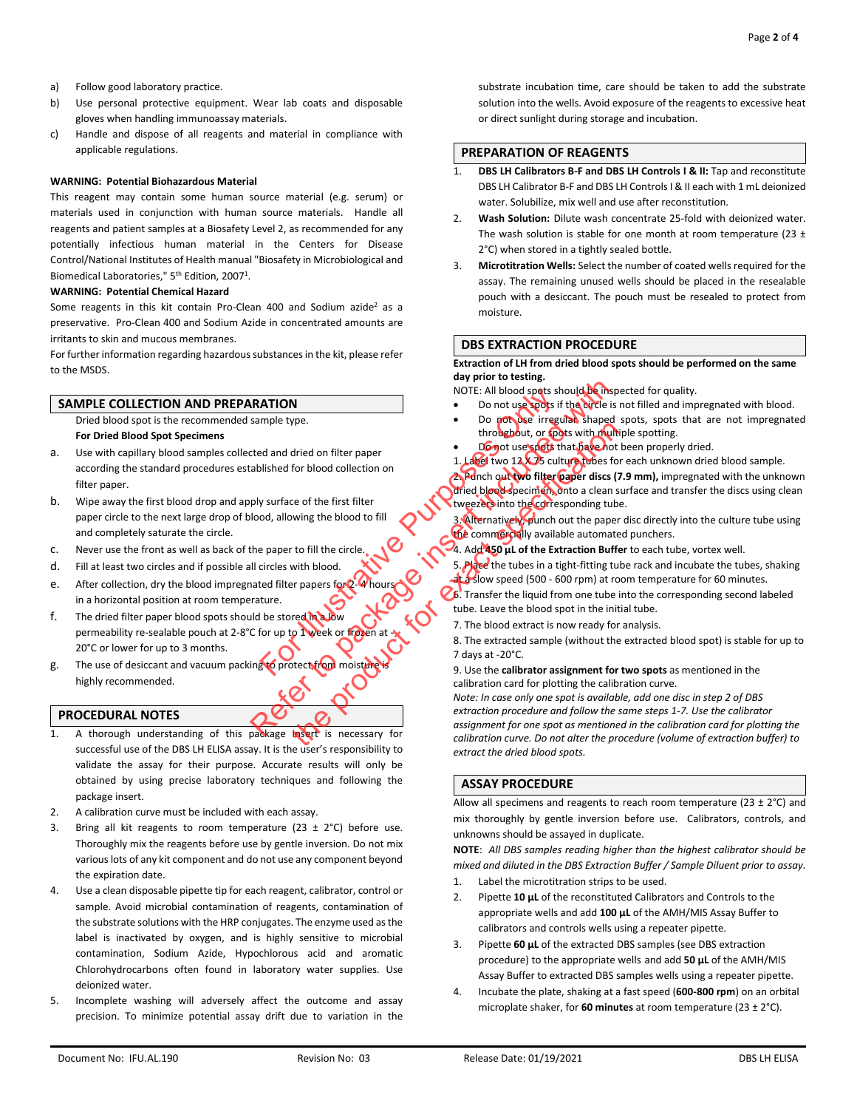- a) Follow good laboratory practice.
- b) Use personal protective equipment. Wear lab coats and disposable gloves when handling immunoassay materials.
- c) Handle and dispose of all reagents and material in compliance with applicable regulations.

#### **WARNING: Potential Biohazardous Material**

This reagent may contain some human source material (e.g. serum) or materials used in conjunction with human source materials. Handle all reagents and patient samples at a Biosafety Level 2, as recommended for any potentially infectious human material in the Centers for Disease Control/National Institutes of Health manual "Biosafety in Microbiological and Biomedical Laboratories," 5<sup>th</sup> Edition, 2007<sup>1</sup>.

#### **WARNING: Potential Chemical Hazard**

Some reagents in this kit contain Pro-Clean 400 and Sodium azide<sup>2</sup> as a preservative. Pro-Clean 400 and Sodium Azide in concentrated amounts are irritants to skin and mucous membranes.

For further information regarding hazardous substances in the kit, please refer to the MSDS.

#### **SAMPLE COLLECTION AND PREPARATION**

Dried blood spot is the recommended sample type.

#### **For Dried Blood Spot Specimens**

- a. Use with capillary blood samples collected and dried on filter paper according the standard procedures established for blood collection on filter paper.
- b. Wipe away the first blood drop and apply surface of the first filter paper circle to the next large drop of blood, allowing the blood to fill and completely saturate the circle.
- c. Never use the front as well as back of the paper to fill the circle.
- d. Fill at least two circles and if possible all circles with blood.
- e. After collection, dry the blood impregnated filter papers for 2in a horizontal position at room temperature.
- f. The dried filter paper blood spots should be stored in a low permeability re-sealable pouch at 2-8°C for up to 1 week or frozen 20°C or lower for up to 3 months. MOTE: All blood spats strate the purpose of the term of the data of the contract of the conduction of the conduction of the conduction of the conduction of the conduction of the conduction of the conduction of the conducti
- g. The use of desiccant and vacuum packing to protect from moisture highly recommended.

#### **PROCEDURAL NOTES**

- 1. A thorough understanding of this package insert is necessary for successful use of the DBS LH ELISA assay. It is the user's responsibility to validate the assay for their purpose. Accurate results will only be obtained by using precise laboratory techniques and following the package insert.
- 2. A calibration curve must be included with each assay.
- 3. Bring all kit reagents to room temperature (23  $\pm$  2°C) before use. Thoroughly mix the reagents before use by gentle inversion. Do not mix various lots of any kit component and do not use any component beyond the expiration date.
- 4. Use a clean disposable pipette tip for each reagent, calibrator, control or sample. Avoid microbial contamination of reagents, contamination of the substrate solutions with the HRP conjugates. The enzyme used as the label is inactivated by oxygen, and is highly sensitive to microbial contamination, Sodium Azide, Hypochlorous acid and aromatic Chlorohydrocarbons often found in laboratory water supplies. Use deionized water.
- Incomplete washing will adversely affect the outcome and assay precision. To minimize potential assay drift due to variation in the

substrate incubation time, care should be taken to add the substrate solution into the wells. Avoid exposure of the reagents to excessive heat or direct sunlight during storage and incubation.

#### **PREPARATION OF REAGENTS**

- 1. **DBS LH Calibrators B-F and DBS LH Controls I & II:** Tap and reconstitute DBS LH Calibrator B-F and DBS LH Controls I & II each with 1 mL deionized water. Solubilize, mix well and use after reconstitution.
- 2. **Wash Solution:** Dilute wash concentrate 25-fold with deionized water. The wash solution is stable for one month at room temperature (23  $\pm$ 2°C) when stored in a tightly sealed bottle.
- 3. **Microtitration Wells:** Select the number of coated wells required for the assay. The remaining unused wells should be placed in the resealable pouch with a desiccant. The pouch must be resealed to protect from moisture.

#### **DBS EXTRACTION PROCEDURE**

**Extraction of LH from dried blood spots should be performed on the same day prior to testing.** 

NOTE: All blood spots should be inspected for quality.

- Do not use spots if the circle is not filled and impregnated with blood.
- Do not use irregular shaped spots, spots that are not impregnated throughout, or spots with multiple spotting.
- Do not use spots that have not been properly dried.
- 1. Label two 12 X 75 culture tubes for each unknown dried blood sample.

2. Punch out two filter paper discs (7.9 mm), impregnated with the unknown dried blood specimen, onto a clean surface and transfer the discs using clean tweezers into the corresponding tube.

3. Alternatively, punch out the paper disc directly into the culture tube using the commercially available automated punchers.

4. Add **450 μL of the Extraction Buffer** to each tube, vortex well.

5. Place the tubes in a tight-fitting tube rack and incubate the tubes, shaking at a slow speed (500 - 600 rpm) at room temperature for 60 minutes.

6. Transfer the liquid from one tube into the corresponding second labeled tube. Leave the blood spot in the initial tube.

7. The blood extract is now ready for analysis.

8. The extracted sample (without the extracted blood spot) is stable for up to 7 days at -20°C.

9. Use the **calibrator assignment for two spots** as mentioned in the calibration card for plotting the calibration curve.

*Note: In case only one spot is available, add one disc in step 2 of DBS extraction procedure and follow the same steps 1-7. Use the calibrator assignment for one spot as mentioned in the calibration card for plotting the calibration curve. Do not alter the procedure (volume of extraction buffer) to extract the dried blood spots.* **EXERCITED NET AND THE AND THE AND THE AND THE AND THE AND THE AND THE AND THE AND THE AND THE AND THE AND THE AND THE AND THE AND THE AND THE AND THE AND THE AND THE AND THE AND THE AND THE AND THE AND THE AND THE AND TH** through the control of the China of the China of the China of the China of the China of the China of the China of the China of the China of the China of the China of the China of the China of the China of the China of the

#### **ASSAY PROCEDURE**

Allow all specimens and reagents to reach room temperature (23  $\pm$  2°C) and mix thoroughly by gentle inversion before use. Calibrators, controls, and unknowns should be assayed in duplicate.

**NOTE**: *All DBS samples reading higher than the highest calibrator should be mixed and diluted in the DBS Extraction Buffer / Sample Diluent prior to assay.*

- 1. Label the microtitration strips to be used.
- 2. Pipette **10 μL** of the reconstituted Calibrators and Controls to the appropriate wells and add **100 μL** of the AMH/MIS Assay Buffer to calibrators and controls wells using a repeater pipette.
- 3. Pipette **60 μL** of the extracted DBS samples (see DBS extraction procedure) to the appropriate wells and add **50 μL** of the AMH/MIS Assay Buffer to extracted DBS samples wells using a repeater pipette.
- 4. Incubate the plate, shaking at a fast speed (**600-800 rpm**) on an orbital microplate shaker, for **60 minutes** at room temperature (23 ± 2°C).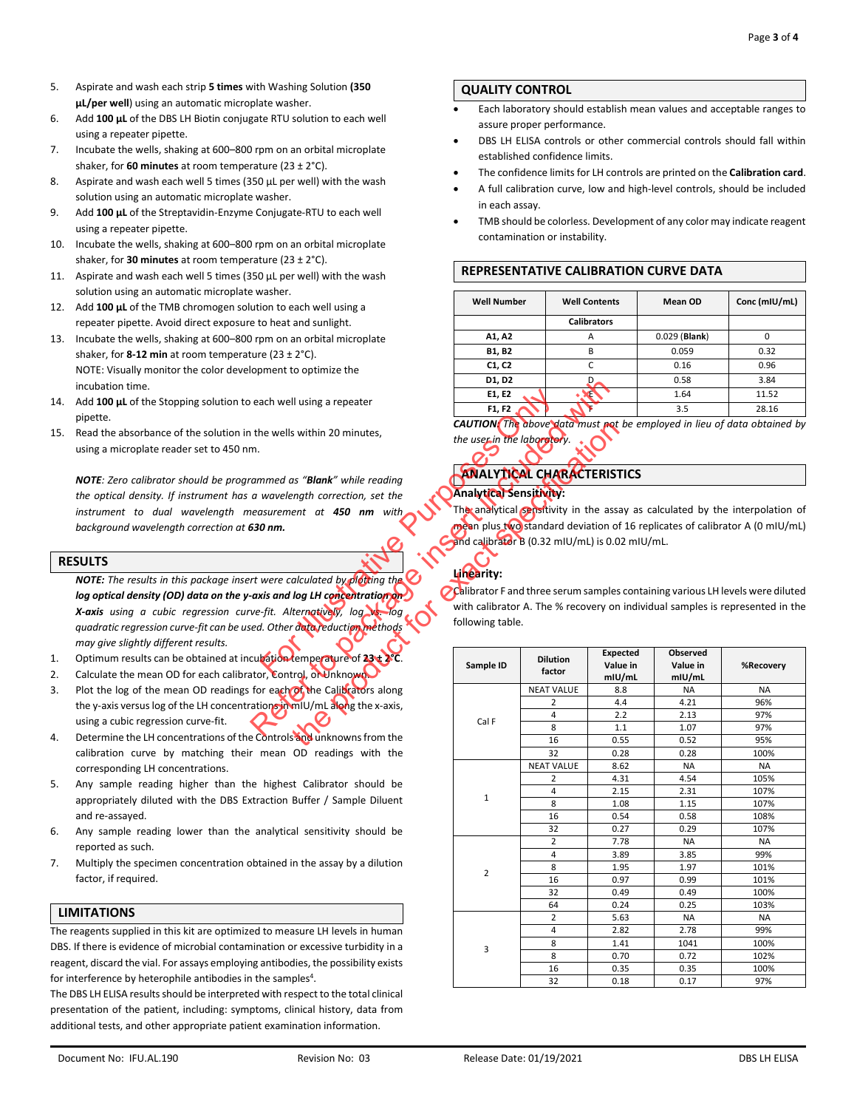- 5. Aspirate and wash each strip **5 times** with Washing Solution **(350 μL/per well**) using an automatic microplate washer.
- 6. Add **100 μL** of the DBS LH Biotin conjugate RTU solution to each well using a repeater pipette.
- 7. Incubate the wells, shaking at 600–800 rpm on an orbital microplate shaker, for **60 minutes** at room temperature (23 ± 2°C).
- 8. Aspirate and wash each well 5 times (350 μL per well) with the wash solution using an automatic microplate washer.
- 9. Add **100 μL** of the Streptavidin-Enzyme Conjugate-RTU to each well using a repeater pipette.
- 10. Incubate the wells, shaking at 600–800 rpm on an orbital microplate shaker, for **30 minutes** at room temperature (23 ± 2°C).
- 11. Aspirate and wash each well 5 times (350 μL per well) with the wash solution using an automatic microplate washer.
- 12. Add **100 μL** of the TMB chromogen solution to each well using a repeater pipette. Avoid direct exposure to heat and sunlight.
- 13. Incubate the wells, shaking at 600–800 rpm on an orbital microplate shaker, for **8-12 min** at room temperature (23 ± 2°C). NOTE: Visually monitor the color development to optimize the incubation time.
- 14. Add **100 μL** of the Stopping solution to each well using a repeater pipette.
- 15. Read the absorbance of the solution in the wells within 20 minutes, using a microplate reader set to 450 nm.

*NOTE: Zero calibrator should be programmed as "Blank" while reading the optical density. If instrument has a wavelength correction, set the instrument to dual wavelength measurement at 450 nm with background wavelength correction at 630 nm.*

#### **RESULTS**

*NOTE: The results in this package insert were calculated by plotting the log optical density (OD) data on the y-axis and log LH concentration on X-axis using a cubic regression curve-fit. Alternatively, log vs. log quadratic regression curve-fit can be used. Other data reduction methods may give slightly different results.* For Fitting the State of 23th 25C.<br>
For Fitting and Columbus the use in the laborator of the use in the laborator of the use in the laborator of the use in the laborator of the use in the laborator of the summer of 450 nm

- 1. Optimum results can be obtained at incubation temperature of 23<sup>+</sup>2
- 2. Calculate the mean OD for each calibrator, Control, or Unknown.
- 3. Plot the log of the mean OD readings for each of the Calibrators along the y-axis versus log of the LH concentrations in mIU/mL along the x-axis, using a cubic regression curve-fit.
- 4. Determine the LH concentrations of the Controls and unknowns from the calibration curve by matching their mean OD readings with the corresponding LH concentrations.
- 5. Any sample reading higher than the highest Calibrator should be appropriately diluted with the DBS Extraction Buffer / Sample Diluent and re-assayed.
- 6. Any sample reading lower than the analytical sensitivity should be reported as such.
- 7. Multiply the specimen concentration obtained in the assay by a dilution factor, if required.

#### **LIMITATIONS**

The reagents supplied in this kit are optimized to measure LH levels in human DBS. If there is evidence of microbial contamination or excessive turbidity in a reagent, discard the vial. For assays employing antibodies, the possibility exists for interference by heterophile antibodies in the samples<sup>4</sup>.

The DBS LH ELISA results should be interpreted with respect to the total clinical presentation of the patient, including: symptoms, clinical history, data from additional tests, and other appropriate patient examination information.

#### **QUALITY CONTROL**

- Each laboratory should establish mean values and acceptable ranges to assure proper performance.
- DBS LH ELISA controls or other commercial controls should fall within established confidence limits.
- The confidence limits for LH controls are printed on the **Calibration card**.
- A full calibration curve, low and high-level controls, should be included in each assay.
- TMB should be colorless. Development of any color may indicate reagent contamination or instability.

#### **REPRESENTATIVE CALIBRATION CURVE DATA**

| <b>Well Number</b> | <b>Well Contents</b> | <b>Mean OD</b>  | Conc (mIU/mL) |  |
|--------------------|----------------------|-----------------|---------------|--|
|                    | <b>Calibrators</b>   |                 |               |  |
| A1, A2             | А                    | $0.029$ (Blank) |               |  |
| B1, B2             | B                    | 0.059           | 0.32          |  |
| C1, C2             |                      | 0.16            | 0.96          |  |
| D1, D2             |                      | 0.58            | 3.84          |  |
| E1, E2             |                      | 1.64            | 11.52         |  |
| F1, F2             |                      | 3.5             | 28.16         |  |

| <b>CAUTION:</b> The above data must not be employed in lieu of data obtained by |  |  |  |  |  |  |
|---------------------------------------------------------------------------------|--|--|--|--|--|--|
| the user in the laboratory. $\cdot$                                             |  |  |  |  |  |  |

# **ANALYTICAL CHARACTERISTICS**

## **Analytical Sensitivity:**

## **Linearity:**

|                                               | D1, D2                                                                        |                                                | D.              | 0.58            | 3.84                                                                            |  |  |  |  |  |
|-----------------------------------------------|-------------------------------------------------------------------------------|------------------------------------------------|-----------------|-----------------|---------------------------------------------------------------------------------|--|--|--|--|--|
|                                               | E1, E2                                                                        |                                                | УĐ              | 1.64            | 11.52                                                                           |  |  |  |  |  |
| each well using a repeater                    | F1, F2                                                                        |                                                |                 | 3.5             | 28.16                                                                           |  |  |  |  |  |
|                                               |                                                                               |                                                |                 |                 | <b>CAUTION:</b> The above data must not be employed in lieu of data obtained by |  |  |  |  |  |
| the wells within 20 minutes,                  | the user in the laboratory.                                                   |                                                |                 |                 |                                                                                 |  |  |  |  |  |
| η.                                            |                                                                               |                                                |                 |                 |                                                                                 |  |  |  |  |  |
|                                               |                                                                               | <b>ANALYTICAL CHARACTERISTICS</b>              |                 |                 |                                                                                 |  |  |  |  |  |
| ammed as " <b>Blank</b> " while reading       |                                                                               |                                                |                 |                 |                                                                                 |  |  |  |  |  |
| a wavelength correction, set the              | Analytical Sensitivity:                                                       |                                                |                 |                 |                                                                                 |  |  |  |  |  |
| easurement at 450 nm with                     | The analytical sensitivity in the assay as calculated by the interpolation of |                                                |                 |                 |                                                                                 |  |  |  |  |  |
| 530 nm.                                       | mean plus two standard deviation of 16 replicates of calibrator A (0 mIU/mL)  |                                                |                 |                 |                                                                                 |  |  |  |  |  |
|                                               |                                                                               | and calibrator B (0.32 mIU/mL) is 0.02 mIU/mL. |                 |                 |                                                                                 |  |  |  |  |  |
|                                               |                                                                               |                                                |                 |                 |                                                                                 |  |  |  |  |  |
|                                               | Linearity:                                                                    |                                                |                 |                 |                                                                                 |  |  |  |  |  |
| rt were calculated by plotting the $\bigcirc$ |                                                                               |                                                |                 |                 |                                                                                 |  |  |  |  |  |
| axis and log LH concentration on              |                                                                               |                                                |                 |                 | Calibrator F and three serum samples containing various LH levels were diluted  |  |  |  |  |  |
| ve-fit. Alternatively, log vs. log            |                                                                               |                                                |                 |                 | with calibrator A. The % recovery on individual samples is represented in the   |  |  |  |  |  |
| ed. Other data reduction methods              | following table.                                                              |                                                |                 |                 |                                                                                 |  |  |  |  |  |
|                                               |                                                                               |                                                |                 |                 |                                                                                 |  |  |  |  |  |
| cubation temperature of 23 ± 2°C              |                                                                               | <b>Dilution</b>                                | <b>Expected</b> | <b>Observed</b> |                                                                                 |  |  |  |  |  |
| tor, Control, or Unknown                      | Sample ID                                                                     | factor                                         | Value in        | Value in        | %Recovery                                                                       |  |  |  |  |  |
|                                               |                                                                               |                                                | mIU/mL          | mIU/mL          |                                                                                 |  |  |  |  |  |
| for each of the Calibrators along             |                                                                               | <b>NEAT VALUE</b>                              | 8.8             | <b>NA</b>       | <b>NA</b><br>96%                                                                |  |  |  |  |  |
| ations in mIU/mL along the x-axis,            |                                                                               | 2<br>4                                         | 4.4<br>2.2      | 4.21<br>2.13    | 97%                                                                             |  |  |  |  |  |
|                                               | Cal F                                                                         | 8                                              | 1.1             | 1.07            | 97%                                                                             |  |  |  |  |  |
| e Controls and unknowns from the              |                                                                               | 16                                             | 0.55            | 0.52            | 95%                                                                             |  |  |  |  |  |
| mean OD readings with the                     |                                                                               | 32                                             | 0.28            | 0.28            | 100%                                                                            |  |  |  |  |  |
|                                               |                                                                               | <b>NEAT VALUE</b>                              | 8.62            | <b>NA</b>       | <b>NA</b>                                                                       |  |  |  |  |  |
| e highest Calibrator should be                |                                                                               | 2                                              | 4.31            | 4.54            | 105%                                                                            |  |  |  |  |  |
|                                               | 1                                                                             | 4                                              | 2.15            | 2.31            | 107%                                                                            |  |  |  |  |  |
| traction Buffer / Sample Diluent              |                                                                               | 8                                              | 1.08            | 1.15            | 107%                                                                            |  |  |  |  |  |
|                                               |                                                                               | 16                                             | 0.54            | 0.58            | 108%                                                                            |  |  |  |  |  |
| analytical sensitivity should be              |                                                                               | 32                                             | 0.27            | 0.29            | 107%                                                                            |  |  |  |  |  |
|                                               |                                                                               | 2                                              | 7.78            | <b>NA</b>       | <b>NA</b>                                                                       |  |  |  |  |  |
| bbtained in the assay by a dilution           |                                                                               | 4<br>8                                         | 3.89<br>1.95    | 3.85<br>1.97    | 99%<br>101%                                                                     |  |  |  |  |  |
|                                               | $\overline{2}$                                                                | 16                                             | 0.97            | 0.99            | 101%                                                                            |  |  |  |  |  |
|                                               |                                                                               | 32                                             | 0.49            | 0.49            | 100%                                                                            |  |  |  |  |  |
|                                               |                                                                               | 64                                             | 0.24            | 0.25            | 103%                                                                            |  |  |  |  |  |
|                                               |                                                                               | $\overline{2}$                                 | 5.63            | <b>NA</b>       | NA                                                                              |  |  |  |  |  |
| ed to measure LH levels in human              |                                                                               | 4                                              | 2.82            | 2.78            | 99%                                                                             |  |  |  |  |  |
| ination or excessive turbidity in a           | 3                                                                             | 8                                              | 1.41            | 1041            | 100%                                                                            |  |  |  |  |  |
| g antibodies, the possibility exists          |                                                                               | 8                                              | 0.70            | 0.72            | 102%                                                                            |  |  |  |  |  |
| the samples <sup>4</sup> .                    |                                                                               | 16                                             | 0.35            | 0.35            | 100%                                                                            |  |  |  |  |  |
|                                               |                                                                               | 32                                             | 0.18            | 0.17            | 97%                                                                             |  |  |  |  |  |